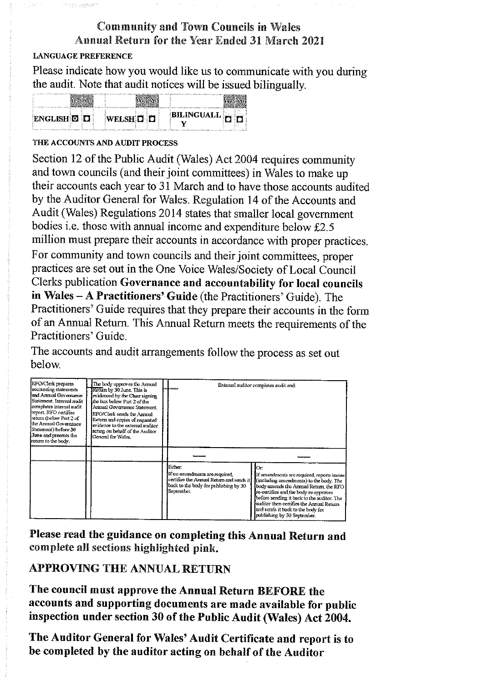# **Community and Town Councils in Wales Annual Return for the Year Ended 31 March 2021**

## **LANGUAGE PREFERENCE**

n hidrographer

Please indicate how you would like us to communicate with you during the audit. Note that audit notices will be issued bilingually.

| <b>BILINGUALL THE THE</b><br>ENGLISH D D<br>WELSHOD |  |  |
|-----------------------------------------------------|--|--|
|                                                     |  |  |

## THE ACCOUNTS AND AUDIT PROCESS

Section 12 of the Public Audit (Wales) Act 2004 requires community and town councils (and their joint committees) in Wales to make up their accounts each year to 31 March and to have those accounts audited by the Auditor General for Wales. Regulation 14 of the Accounts and Audit (Wales) Regulations 2014 states that smaller local government bodies i.e. those with annual income and expenditure below £2.5 million must prepare their accounts in accordance with proper practices. For community and town councils and their joint committees, proper practices are set out in the One Voice Wales/Society of Local Council Clerks publication Governance and accountability for local councils in Wales - A Practitioners' Guide (the Practitioners' Guide). The Practitioners' Guide requires that they prepare their accounts in the form of an Annual Return. This Annual Return meets the requirements of the Practitioners' Guide.

The accounts and audit arrangements follow the process as set out helow

| RFO/Clerk prepares<br>accounting statements<br>and Annual Governance<br>Statement. Internal aucht<br>completes internal audit<br>report. RFO certifies<br>return (below Part 2 of<br>the Annual Governance<br>Statement) before 30<br>June and presents the<br>return to the body. | The body approves the Annual<br>Return by 30 June. This is<br>evidenced by the Chair signing<br>the box below Part 2 of the<br>Armual Governance Statement.<br>RFO/Clerk sends the Annual<br>Return and copies of requested<br>evidence to the external auditor<br>acting on behalf of the Auditor<br>General for Wales. |                                                                                                                                              | External auditor completes audit and:                                                                                                                                                                                                                                                                                                          |
|------------------------------------------------------------------------------------------------------------------------------------------------------------------------------------------------------------------------------------------------------------------------------------|--------------------------------------------------------------------------------------------------------------------------------------------------------------------------------------------------------------------------------------------------------------------------------------------------------------------------|----------------------------------------------------------------------------------------------------------------------------------------------|------------------------------------------------------------------------------------------------------------------------------------------------------------------------------------------------------------------------------------------------------------------------------------------------------------------------------------------------|
|                                                                                                                                                                                                                                                                                    |                                                                                                                                                                                                                                                                                                                          | Either:<br>If no amendments are required,<br>certifies the Annual Return and sends it<br>back to the body for publishing by 30<br>September. | Юr.<br>If amendments are required, reports issues<br>(including amendments) to the body. The<br>body amends the Annual Return, the RFO-<br>re-certifies and the body re-approves<br>before sending it back to the auditor. The<br>auditor then certifies the Annual Return<br>and sends it back to the body for<br>publishing by 30 September. |

Please read the guidance on completing this Annual Return and complete all sections highlighted pink.

# **APPROVING THE ANNUAL RETURN**

The council must approve the Annual Return BEFORE the accounts and supporting documents are made available for public inspection under section 30 of the Public Audit (Wales) Act 2004.

The Auditor General for Wales' Audit Certificate and report is to be completed by the auditor acting on behalf of the Auditor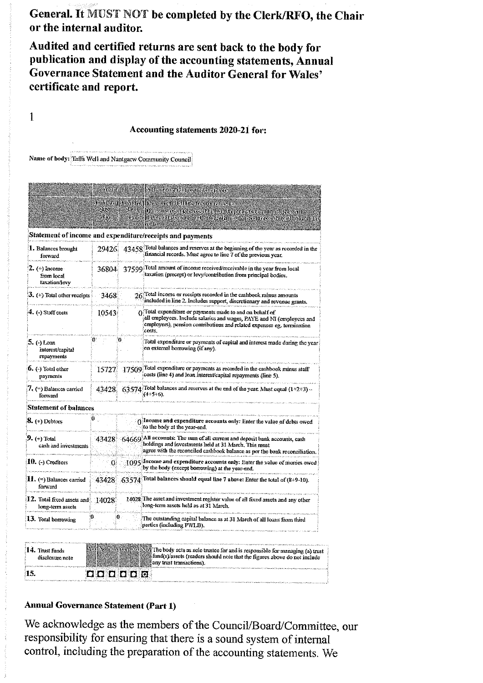General. It MUST NOT be completed by the Clerk/RFO, the Chair or the internal auditor.

Audited and certified returns are sent back to the body for publication and display of the accounting statements, Annual Governance Statement and the Auditor General for Wales' certificate and report.

#### Accounting statements 2020-21 for:

Name of body: Taffs Well and Nantgarw Community Council

 $\mathbf{1}$ 

|                                                | <b>Mail andina</b> |             | evoltes and untilhmee this employees                                                                                                                                                                                         |  |  |  |  |
|------------------------------------------------|--------------------|-------------|------------------------------------------------------------------------------------------------------------------------------------------------------------------------------------------------------------------------------|--|--|--|--|
| ચામા<br><b>Tleat</b><br>ZC 51<br>T. J.         |                    |             | SE NGRUPSI NGRUP RIGIN GUIDI ALBIGINI UMBER S<br>Distinct of the lines. The content of the complete of the content of the content<br>inances and character the underlying supported seconds to chroneler are<br>willi        |  |  |  |  |
|                                                |                    |             | Statement of income and expenditure/receipts and payments                                                                                                                                                                    |  |  |  |  |
| 1. Balances brought<br>forward                 | 29426              |             | 43458 Total balances and reserves at the beginning of the year as recorded in the<br>financial records. Must agree to line 7 of the previous year.                                                                           |  |  |  |  |
| $2.$ (+) Income<br>from local<br>taxation/levy | 36804              |             | 37599 Total amount of income received/receivable in the year from local<br>taxation (precept) or levy/contribution from principal bodies.                                                                                    |  |  |  |  |
| $\mathbf{J.}$ (+) Total other receipts         | 3468               |             | $26$ Total income or receipts recorded in the cashbook minus amounts<br>included in line 2. Includes support, discretionary and revenue grants.                                                                              |  |  |  |  |
| $\left(4. \left(-\right)$ Staff costs          | 10543              |             | $\Omega$ Total expenditure or payments made to and on behalf of<br>all employees. Include salaries and wages, PAYE and NI (employees and<br>employers), pension contributions and related expenses eg. termination<br>costs. |  |  |  |  |
| 5. (-) Loan<br>interest/capital<br>repayments  | 0.                 | 0.          | Total expenditure or payments of capital and interest made during the year<br>on external borrowing (if any).                                                                                                                |  |  |  |  |
| $6.$ (-) Total other<br>payments               | 15727.             |             | 17509 Total expenditure or payments as recorded in the cashbook minus staff<br>costs (line 4) and loan interest/capital repayments (line 5).                                                                                 |  |  |  |  |
| 7. (=) Balances carried<br>forward             |                    |             | $43428$ 63574 Total balances and reserves at the end of the year. Must equal (1+2+3) ~<br>$(4+5+6)$ .                                                                                                                        |  |  |  |  |
| Statement of balances                          |                    |             |                                                                                                                                                                                                                              |  |  |  |  |
| $\delta$ . $\leftrightarrow$ ) Debtors         | $\mathbf{0}$ .     |             | (income and expenditure accounts only: Enter the value of debis owed<br>to the body at the year-end.                                                                                                                         |  |  |  |  |
| $9.$ (+) Total<br>cash and investments         |                    |             | 43428 64669 All accounts: The sum of all current and deposit bank accounts, cash<br>holdings and investments held at 31 March. This must<br>agree with the reconciled cashbook balance as per the bank reconciliation.       |  |  |  |  |
| $10.$ (-) Creditors                            | Œ                  |             | 1095 Income and expenditure accounts only: Enter the value of monies owed<br>by the body (except borrowing) at the year-end.                                                                                                 |  |  |  |  |
| 11. (=) Balances carried<br>forward            |                    | 43428 63574 | Total balances should equal line 7 above: Enter the total of (8+9-10).                                                                                                                                                       |  |  |  |  |
| 12. Total fixed assets and<br>long-term assets | 14028              |             | 14028 The asset and investment register value of all fixed assets and any other<br>long-term assets held as at 31 March.                                                                                                     |  |  |  |  |
| 13. Total borrowing                            | 0.                 | 0.          | The outstanding capital balance as at 31 March of all loans from third<br>parties (including PWLB).                                                                                                                          |  |  |  |  |

| 14. Trust funds | Alert No WAVER STANDARD The body acts as sole trustee for and is responsible for managing (a) trust                                                                                                                            |
|-----------------|--------------------------------------------------------------------------------------------------------------------------------------------------------------------------------------------------------------------------------|
| disclosure note | fund(s) assets (readers should note that the figures above do not include                                                                                                                                                      |
|                 | all sany trust transactions).                                                                                                                                                                                                  |
| 15.             |                                                                                                                                                                                                                                |
|                 | THE FATTERS IS RESERVED ON THE RESERVED OF A REPORT OF A RESERVED OF A RESERVED OF A RESERVED OF A RESERVED OF A RESERVED OF A RESERVED OF A RESIDENCE OF A RESIDENCE OF A RESIDENCE OF A RESIDENCE OF A RESIDENCE OF A RESIDE |

### **Annual Governance Statement (Part 1)**

We acknowledge as the members of the Council/Board/Committee, our responsibility for ensuring that there is a sound system of internal control, including the preparation of the accounting statements. We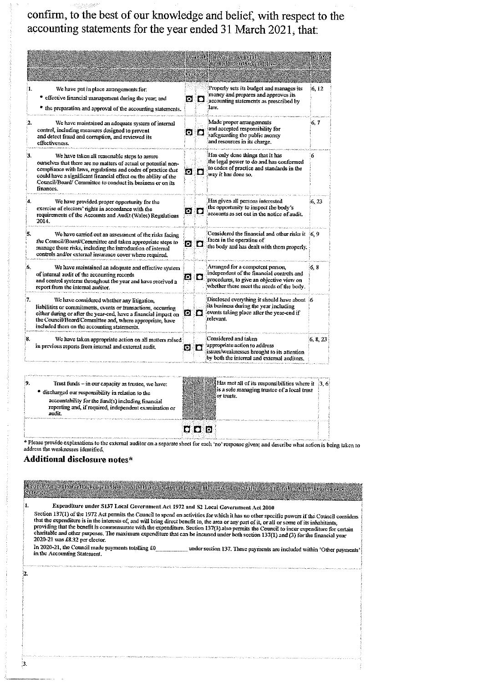confirm, to the best of our knowledge and belief, with respect to the accounting statements for the year ended 31 March 2021, that:

|     |                                                                                                                                                                                                                                                                                                                              |            | <b><i>Survein</i></b> | Agreed PS at Standards that the<br><b>Commodistrandix committee</b>                                                                                                    | lvea Nd  |
|-----|------------------------------------------------------------------------------------------------------------------------------------------------------------------------------------------------------------------------------------------------------------------------------------------------------------------------------|------------|-----------------------|------------------------------------------------------------------------------------------------------------------------------------------------------------------------|----------|
| 1.  | We have put in place arrangements for:<br>* effective financial management during the year; and<br>the preparation and approval of the accounting statements.                                                                                                                                                                |            | o a                   | Properly sets its budget and manages its<br>money and prepares and approves its<br>accounting statements as prescribed by<br>law.                                      | 6.12     |
| 2.  | We have maintained an adequate system of internal<br>control, including measures designed to prevent<br>and detect fraud and corruption, and reviewed its<br>effectiveness.                                                                                                                                                  |            | ם ם                   | Made proper arrangements<br>and accepted responsibility for<br>safeguarding the public money<br>and resources in its charge.                                           | 6, 7     |
| 3.  | We have taken all reasonable steps to assure<br>ourselves that there are no matters of actual or potential non-<br>compliance with laws, regulations and codes of practice that<br>could have a significant financial effect on the ability of the<br>Council/Board/Committee to conduct its business or on its<br>finances. | o o        |                       | Has only done things that it has<br>the legal power to do and has conformed<br>to codes of practice and standards in the<br>way it has done so.                        | 6        |
| Ά.  | We have provided proper opportunity for the<br>exercise of electors' rights in accordance with the<br>requirements of the Accounts and Audit (Wales) Regulations<br>2014.                                                                                                                                                    | 0 0        |                       | Has given all persons interested<br>the opportunity to inspect the body's<br>accounts as set out in the notice of audit.                                               | 6, 23    |
| ٠., | We have carried out an assessment of the risks Jacing<br>the Council/Board/Committee and taken appropriate steps to<br>manage those risks, including the introduction of internal<br>controls and/or external insurance cover where required.                                                                                | 0 0        |                       | Considered the financial and other risks it (6, 9)<br>faces in the operation of<br>the body and has dealt with them properly.                                          |          |
| 6.  | We have maintained an adequate and effective system<br>of internal audit of the accounting records<br>and control systems throughout the year and have received a<br>report from the internal auditor.                                                                                                                       | <u>ក ព</u> |                       | Arranged for a competent person.<br>independent of the financial controls and<br>procedures, to give an objective view on<br>whether these meet the needs of the body. | 6, 8     |
| 红.  | We have considered whether any litigation,<br>liabilities or commitments, events or transactions, occurring<br>cither during or after the year-end, have a financial impact on<br>the Council/Board/Committee and, where appropriate, have<br>included them on the accounting statements.                                    | o o        |                       | Disclosed everything it should have about 6<br>its business during the year including<br>events taking place after the year-end if<br>relevant.                        |          |
| 8.  | We have taken appropriate action on all matters raised<br>in previous reports from internal and external audit.                                                                                                                                                                                                              | ច ប        |                       | Considered and taken<br>appropriate action to address<br>issues/weaknesses brought to its attention<br>by both the internal and external auditors.                     | 6, 8, 23 |

| the second company of the second company of the second company of the second company of |                                                                                                                                                                    |
|-----------------------------------------------------------------------------------------|--------------------------------------------------------------------------------------------------------------------------------------------------------------------|
| Trust funds - in our capacity as trustee, we have:                                      | $\frac{1}{2}$ $\frac{1}{2}$ $\frac{1}{2}$ $\frac{1}{2}$ $\frac{1}{2}$ $\frac{1}{2}$ $\frac{1}{2}$ $\frac{1}{2}$ of its responsibilities where it $\frac{1}{2}$ , 6 |
| <sup>•</sup> discharged our responsibility in relation to the                           | is a sole managing trustee of a local trust                                                                                                                        |
| accountability for the fund(s) including financial                                      | <i>i</i> ii or trusts.                                                                                                                                             |
| reporting and, if required, independent examination or                                  |                                                                                                                                                                    |
| audit.                                                                                  |                                                                                                                                                                    |
|                                                                                         |                                                                                                                                                                    |
|                                                                                         |                                                                                                                                                                    |
|                                                                                         |                                                                                                                                                                    |

\* Please provide explanations to the external auditor on a separate sheet for each 'no' response given; and describe what action is being taken to address the weaknesses identified.

### Additional disclosure notes\*

 $\frac{1}{2}$ 

| ithe followiga information segnawil (state mederal caracter to agrify standalite assuming evaluation tantam die evangletin wanans<br><b>Muontan</b>                                                                                                                                                                                                                                                                                                                                                                                                                                                                                                                                                       |
|-----------------------------------------------------------------------------------------------------------------------------------------------------------------------------------------------------------------------------------------------------------------------------------------------------------------------------------------------------------------------------------------------------------------------------------------------------------------------------------------------------------------------------------------------------------------------------------------------------------------------------------------------------------------------------------------------------------|
| Expenditure under S137 Local Government Act 1972 and S2 Local Government Act 2000<br>Section 137(1) of the 1972 Act permits the Council to spend on activities for which it has no other specific powers if the Council considers<br>that the expenditure is in the interests of, and will bring direct benefit to, the area or any part of it, or all or some of its inhabitants,<br>providing that the benefit is commensurate with the expenditure. Section 137(3) also permits the Council to incur expenditure for certain<br>charitable and other purposes. The maximum expenditure that can be incurred under both section 137(1) and (3) for the financial year<br>2020-21 was £8.32 per elector. |
| In 2020-21, the Council made payments totalling £0<br>under section 137. These payments are included within 'Other payments'<br>in the Accounting Statement.                                                                                                                                                                                                                                                                                                                                                                                                                                                                                                                                              |
|                                                                                                                                                                                                                                                                                                                                                                                                                                                                                                                                                                                                                                                                                                           |
|                                                                                                                                                                                                                                                                                                                                                                                                                                                                                                                                                                                                                                                                                                           |
|                                                                                                                                                                                                                                                                                                                                                                                                                                                                                                                                                                                                                                                                                                           |
|                                                                                                                                                                                                                                                                                                                                                                                                                                                                                                                                                                                                                                                                                                           |
|                                                                                                                                                                                                                                                                                                                                                                                                                                                                                                                                                                                                                                                                                                           |
|                                                                                                                                                                                                                                                                                                                                                                                                                                                                                                                                                                                                                                                                                                           |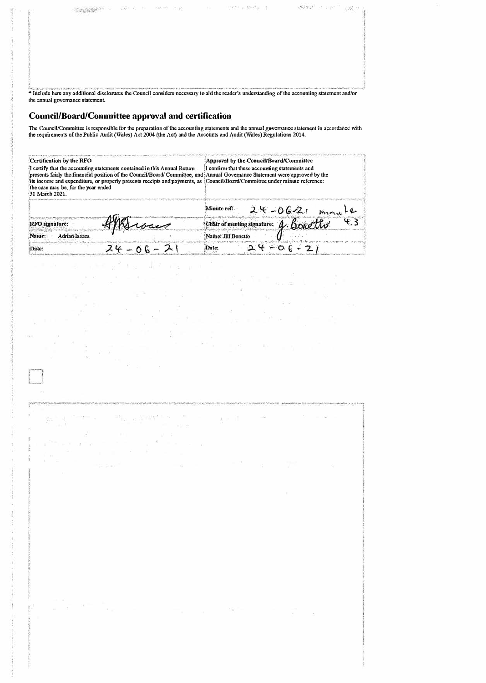|                                  |  | <del>ತ್ಯಾಂಡಿಯಾರ್ಡ್</del> ಎಂದು ಅಂದು ಅವರ ಸ್ವಾರ್ಡ್ ಅಂದು ಅವರು ಕಾರ್ಯಾಟಕ ಮಾಡಿದ್ದರು. ಅವರಿಗೆ ನಿಮ್ಮ ಕ್ರಿ                                                |  |
|----------------------------------|--|------------------------------------------------------------------------------------------------------------------------------------------------|--|
|                                  |  |                                                                                                                                                |  |
|                                  |  |                                                                                                                                                |  |
|                                  |  |                                                                                                                                                |  |
|                                  |  |                                                                                                                                                |  |
|                                  |  |                                                                                                                                                |  |
|                                  |  |                                                                                                                                                |  |
|                                  |  |                                                                                                                                                |  |
|                                  |  |                                                                                                                                                |  |
|                                  |  |                                                                                                                                                |  |
|                                  |  | * Include here any additional disclosures the Council considers necessary to aid the reader's understanding of the accounting statement and/or |  |
| the annual governance statement. |  |                                                                                                                                                |  |

#### **Council/Board/Committee approval and certification**

The Council/Committee is responsible for the preparation of the accounting statements and the annual governance statement in accordance with the requirements of the Public Audit (Wales) Act 2004 (the Act) and the Accounts

| Certification by the RFO<br>I certify that the accounting statements contained in this Annual Return.<br>presents fairly the financial position of the Council/Board/Committee, and Annual Governance Statement were approved by the<br>its income and expenditure, or properly presents receipts and payments, as Council/Board/Committee under minute reference:<br>the case may be, for the year ended<br>31 March 2021. | Approval by the Council/Board/Committee<br>I confirm that these accounting statements and |
|-----------------------------------------------------------------------------------------------------------------------------------------------------------------------------------------------------------------------------------------------------------------------------------------------------------------------------------------------------------------------------------------------------------------------------|-------------------------------------------------------------------------------------------|
|                                                                                                                                                                                                                                                                                                                                                                                                                             | Minute ref.<br>$24 - 06 - 21$<br>mini                                                     |
| RFO signature:                                                                                                                                                                                                                                                                                                                                                                                                              | $\mathcal{L}_{12}$<br>Chair of meeting signature: 4. Bonetto                              |
| <b>Adrian Isaacs</b><br>Name:                                                                                                                                                                                                                                                                                                                                                                                               | Name: Jill Bonetto                                                                        |
| Date:                                                                                                                                                                                                                                                                                                                                                                                                                       | Date:                                                                                     |

Reserve R  $\langle \hat{\mathbf{r}} \rangle$ 

o.

8

 $\sim$ 

Since 1943

 $\alpha$   $\approx$ 

W v

ò.

ñ a

 $\tilde{\Sigma}$ 

|            |                                                                                                              | APPARTMENTMY-REPUBLICATE AND ARRESTMENT TO A RECOVAL RECOVATION TO APPARTMENT OF A CONFIDENTIAL CONTACT AND A CONFIDENTIAL CONFIDENTIAL CONFIDENTIAL CONFIDENTIAL CONFIDENTIAL IN A GEOGRAPH CONFIDENTIAL CONFIDENTIAL CONFIDE                                                                                                                                                                                                                                                                                                                                                                                                                                                                                          |  |                                                |              |                           |  |
|------------|--------------------------------------------------------------------------------------------------------------|-------------------------------------------------------------------------------------------------------------------------------------------------------------------------------------------------------------------------------------------------------------------------------------------------------------------------------------------------------------------------------------------------------------------------------------------------------------------------------------------------------------------------------------------------------------------------------------------------------------------------------------------------------------------------------------------------------------------------|--|------------------------------------------------|--------------|---------------------------|--|
|            |                                                                                                              | $\label{eq:4.1} \frac{\partial \mu}{\partial x}=\frac{1}{2}e^{-\frac{2\pi}{3}x}e^{-\frac{2\pi}{3}x}=-\frac{2\pi}{3}e^{-\frac{2\pi}{3}x}e^{-\frac{2\pi}{3}x}e^{-\frac{2\pi}{3}x}e^{-\frac{2\pi}{3}x}e^{-\frac{2\pi}{3}x}e^{-\frac{2\pi}{3}x}e^{-\frac{2\pi}{3}x}e^{-\frac{2\pi}{3}x}e^{-\frac{2\pi}{3}x}e^{-\frac{2\pi}{3}x}e^{-\frac{2\pi}{3}x}e^{-\frac{2\pi}{3}x}e$<br>$\label{eq:2.1} \begin{array}{ccccc} &\mathbb{R}^2&\cdots&\mathbb{R}^2&\mathbb{R}^2\\ \mathbb{R}^2\mathbb{R}^2&\mathbb{R}^2&\mathbb{R}^2&\mathbb{R}^2&\mathbb{R}^2&\mathbb{R}^2&\mathbb{R}^2&\mathbb{R}^2&\mathbb{R}^2&\mathbb{R}^2&\mathbb{R}^2&\mathbb{R}^2&\mathbb{R}^2&\mathbb{R}^2&\mathbb{R}^2&\mathbb{R}^2&\mathbb{R}^2&\mathbb{R}^2&\$ |  |                                                |              | $\mathcal{H}$ and the set |  |
|            | 1.1                                                                                                          | And the company of the company of the company<br>the special contract of the contract of the second contract of the second contract of the second contract of the second contract of the second contract of the second contract of the second contract of the second contract o                                                                                                                                                                                                                                                                                                                                                                                                                                         |  | $\mathbf{r} = \mathbf{r} \mathbf{x} \tag{7.8}$ |              | $\sim$                    |  |
|            |                                                                                                              |                                                                                                                                                                                                                                                                                                                                                                                                                                                                                                                                                                                                                                                                                                                         |  |                                                | <b>STATE</b> |                           |  |
|            |                                                                                                              |                                                                                                                                                                                                                                                                                                                                                                                                                                                                                                                                                                                                                                                                                                                         |  |                                                |              |                           |  |
|            |                                                                                                              |                                                                                                                                                                                                                                                                                                                                                                                                                                                                                                                                                                                                                                                                                                                         |  |                                                |              |                           |  |
|            |                                                                                                              |                                                                                                                                                                                                                                                                                                                                                                                                                                                                                                                                                                                                                                                                                                                         |  |                                                |              |                           |  |
| ł.<br>- 11 | $\label{eq:1.1} \begin{array}{cc} \mathbf{w} & \mathbf{d} = -\mathbf{w} = -\frac{\mathbf{w}}{2} \end{array}$ |                                                                                                                                                                                                                                                                                                                                                                                                                                                                                                                                                                                                                                                                                                                         |  |                                                |              |                           |  |
|            |                                                                                                              |                                                                                                                                                                                                                                                                                                                                                                                                                                                                                                                                                                                                                                                                                                                         |  |                                                |              |                           |  |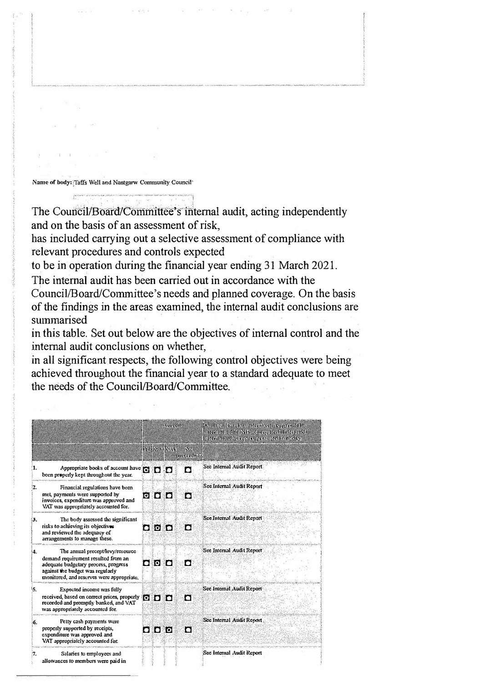Name of body: *Taffs* Well and Nantgarw Community Council<sup>\*</sup>

 $\tilde{\phi}:=\tilde{\phi}(\tilde{\phi}_{\tilde{\theta}}-\tilde{\phi}_{\tilde{\theta}})$ 

The Council/Board/Committee's internal audit, acting independently and on the basis of an assessment of risk,

 $\mathcal{M}^{\pm}$  . <br> <br> :  $\mathcal{M}$ 

has included carrying out a selective assessment of compliance with relevant procedures and controls expected

to be in operation during the financial year ending 31 March 2021.

The internal audit has been carried out in accordance with the Council/Board/Committee's needs and planned coverage. On the basis of the findings in the areas examined, the internal audit conclusions are summarised

in this table. Set out below are the objectives of internal control and the internal audit conclusions on whether,

in all significant respects, the following control objectives were being achieved throughout the financial year to a standard adequate to meet the needs of the Council/Board/Committee.

|                 |                                                                                                                                                                                                  | <b>Surger</b>                                      |                    |                             | Continual stock and teach, or as a graved the<br>mondendia Monteranterinta di tantut<br>international propriety and content materials. |  |  |
|-----------------|--------------------------------------------------------------------------------------------------------------------------------------------------------------------------------------------------|----------------------------------------------------|--------------------|-----------------------------|----------------------------------------------------------------------------------------------------------------------------------------|--|--|
|                 |                                                                                                                                                                                                  |                                                    | <b>Bospan Kvay</b> | $\sim$<br><b>CHANG RUTH</b> |                                                                                                                                        |  |  |
| я.              | Appropriate books of account have <b>to the C</b><br>been properly kept throughout the year.                                                                                                     |                                                    |                    | П                           | Sec Internal Audit Report                                                                                                              |  |  |
| 2.              | Financial regulations have been<br>met, payments were supported by<br>invoices, expenditure was approved and<br>VAT was appropriately accounted for.                                             | $\overline{\textbf{O}}$ of $\overline{\textbf{O}}$ |                    | П                           | See Internal Audit Report                                                                                                              |  |  |
| 3.              | The body assessed the significant<br>risks to achieving its objectives<br>and reviewed the adequacy of<br>arrangements to manage these.                                                          | ם פ                                                |                    | П                           | Sce Internal Audit Report                                                                                                              |  |  |
| 4.              | The annual precept/levy/resource<br>demand requirement resulted from an<br>adequate budgetary process, progress<br>against the budget was regularly<br>monitored, and reserves were appropriate. | $\bullet$ 0 $\bullet$                              |                    | П                           | See Internal Audit Report                                                                                                              |  |  |
| <sup>1</sup> 5. | Expected income was fully<br>received, based on correct prices, properly <b>COD</b><br>recorded and promptly banked, and VAT<br>was appropriately accounted for.                                 |                                                    |                    | п                           | See Internal Audit Report                                                                                                              |  |  |
| 6.              | Petty cash payments were<br>properly supported by receipts,<br>expenditure was approved and<br>VAT appropriately accounted for.                                                                  | $\bullet$ $\bullet$ $\bullet$ $\circ$              |                    | п                           | See Internal Audit Report                                                                                                              |  |  |
| 17.             | Salaries to employees and<br>allowances to members were paid in                                                                                                                                  |                                                    |                    |                             | See Internal Audit Report                                                                                                              |  |  |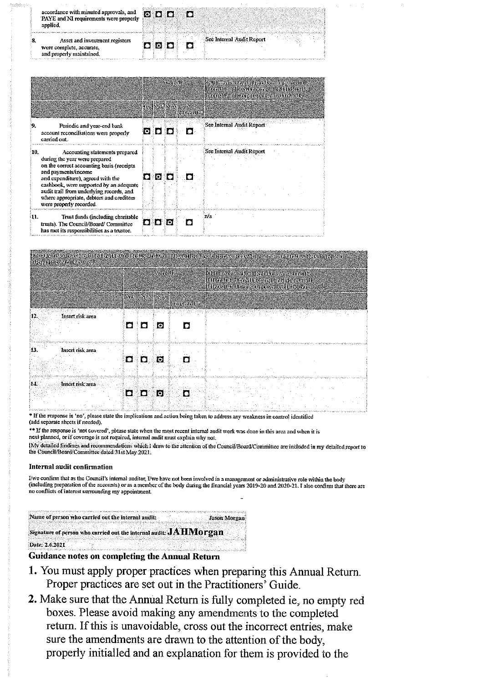| accordance with minuted approvals, and<br>PAYE and NI requirements were properly<br>applied. | <b>b</b> D D              |
|----------------------------------------------------------------------------------------------|---------------------------|
| Asset and investment registers<br>were complete, accurate,<br>and properly maintained.       | See Internal Audit Report |

|     |                                                                                                                                                                                                                                                                                                                                        | svintvoje. |              |    |                                                   | <b>I diffluo dissorte diffluoritische degeneration</b><br><b>Internationalists of visitors and relativity and relativity</b><br>internationalismentos en contrata a motor |  |  |
|-----|----------------------------------------------------------------------------------------------------------------------------------------------------------------------------------------------------------------------------------------------------------------------------------------------------------------------------------------|------------|--------------|----|---------------------------------------------------|---------------------------------------------------------------------------------------------------------------------------------------------------------------------------|--|--|
|     |                                                                                                                                                                                                                                                                                                                                        |            |              |    | <b><i><u>NGKO NATIONAL</u></i></b><br>fensazette. |                                                                                                                                                                           |  |  |
|     | Periodic and year-end bank<br>account reconciliations were properly<br>carried out.                                                                                                                                                                                                                                                    |            | 0 D D        |    | п                                                 | See Internal Audit Report                                                                                                                                                 |  |  |
| 10. | Accounting statements prepared<br>during the year were prepared<br>on the correct accounting basis (receipts<br>and payments/income<br>and expenditure), agreed with the<br>cashbook, were supported by an adequate<br>audit trail from underlying records, and<br>where appropriate, debtors and creditors<br>were properly recorded. |            | o lo .       | ैि |                                                   | See Internal Audit Report                                                                                                                                                 |  |  |
| 11. | Trust funds (including charitable<br>trusts). The Council/Board/ Committee<br>has met its responsibilities as a trustee,                                                                                                                                                                                                               |            | <b>D</b> D O |    |                                                   | пh                                                                                                                                                                        |  |  |

|                         | Waxaalk                   |                                    | <b>Continue the work unit continue to a generating</b><br><b>Internationalists of suderwantive Metropholis</b><br><b>International Security And Serves</b> |
|-------------------------|---------------------------|------------------------------------|------------------------------------------------------------------------------------------------------------------------------------------------------------|
|                         | <b><i>MC NO NORTH</i></b> | <b>SANTA</b><br><b>AND YOR OLD</b> |                                                                                                                                                            |
| Insert risk area<br>12. |                           |                                    | NGC 1                                                                                                                                                      |
|                         | O<br>ø<br>נ ז             |                                    |                                                                                                                                                            |
| Insert risk area<br>13. | П<br>់ ទៅ<br>n            |                                    | ҚУҚ-тарық терінің басында Қайтық Қазақсы қайры ұртарының алының қызында дең бездей кейде аталасының сайындаға                                              |
| 14.<br>Insert risk area | Đ.<br>ю                   | Ω                                  |                                                                                                                                                            |

\* If the response is 'no', please state the implications and action being taken to address any weakness in control identified (add separate sheets if needed).

\*\* If the response is 'not covered', please state when the most recent internal audit work was done in this area and when it is next planned, or if coverage is not required, internal audit must explain why not.

[My detailed findings and recommendations which I draw to the attention of the Council/Board/Committee are included in my detailed report to the Council/Board/Committee dated 31st May 2021.

#### Internal audit confirmation

.<br>Tanggalan

I/we confirm that as the Council's internal auditor, I/we have not been involved in a management or administrative role within the body<br>(including preparation of the accounts) or as a member of the body during the financia no conflicts of interest surrounding my appointment.

| Name of person who carried out the internal audit:                          |  | <b>Jason Morgan</b>                                                                                                  |
|-----------------------------------------------------------------------------|--|----------------------------------------------------------------------------------------------------------------------|
|                                                                             |  |                                                                                                                      |
| Signature of person who carried out the internal audit: $\mathbf{JAMorgan}$ |  |                                                                                                                      |
|                                                                             |  |                                                                                                                      |
|                                                                             |  |                                                                                                                      |
| Date: 2.6.2021                                                              |  | kitoliiti talaa ilma kusaa maan maala ilmaan oo maan maan maanilima maan maanilima maan maanilimin maanilimin maanil |
|                                                                             |  |                                                                                                                      |

#### Guidance notes on completing the Annual Return

- 1. You must apply proper practices when preparing this Annual Return. Proper practices are set out in the Practitioners' Guide.
- 2. Make sure that the Annual Return is fully completed ie, no empty red boxes. Please avoid making any amendments to the completed return. If this is unavoidable, cross out the incorrect entries, make sure the amendments are drawn to the attention of the body, properly initialled and an explanation for them is provided to the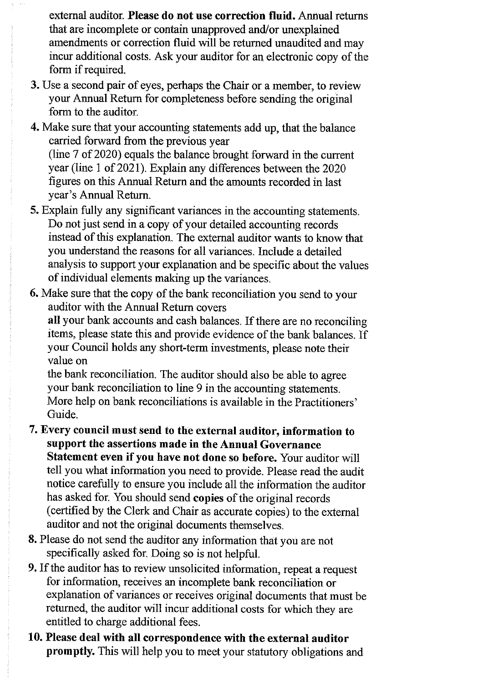external auditor. Please do not use correction fluid. Annual returns that are incomplete or contain unapproved and/or unexplained amendments or correction fluid will be returned unaudited and may incur additional costs. Ask your auditor for an electronic copy of the form if required.

- 3. Use a second pair of eyes, perhaps the Chair or a member, to review your Annual Return for completeness before sending the original form to the auditor.
- 4. Make sure that your accounting statements add up, that the balance carried forward from the previous year (line 7 of 2020) equals the balance brought forward in the current year (line 1 of 2021). Explain any differences between the 2020 figures on this Annual Return and the amounts recorded in last vear's Annual Return.
- 5. Explain fully any significant variances in the accounting statements. Do not just send in a copy of your detailed accounting records instead of this explanation. The external auditor wants to know that you understand the reasons for all variances. Include a detailed analysis to support your explanation and be specific about the values of individual elements making up the variances.
- 6. Make sure that the copy of the bank reconciliation you send to your auditor with the Annual Return covers

all your bank accounts and cash balances. If there are no reconciling items, please state this and provide evidence of the bank balances. If your Council holds any short-term investments, please note their value on

the bank reconciliation. The auditor should also be able to agree your bank reconciliation to line 9 in the accounting statements. More help on bank reconciliations is available in the Practitioners' Guide.

- 7. Every council must send to the external auditor, information to support the assertions made in the Annual Governance Statement even if you have not done so before. Your auditor will tell you what information you need to provide. Please read the audit notice carefully to ensure you include all the information the auditor has asked for. You should send copies of the original records (certified by the Clerk and Chair as accurate copies) to the external auditor and not the original documents themselves.
- 8. Please do not send the auditor any information that you are not specifically asked for. Doing so is not helpful.
- 9. If the auditor has to review unsolicited information, repeat a request for information, receives an incomplete bank reconciliation or explanation of variances or receives original documents that must be returned, the auditor will incur additional costs for which they are entitled to charge additional fees.
- 10. Please deal with all correspondence with the external auditor **promptly.** This will help you to meet your statutory obligations and